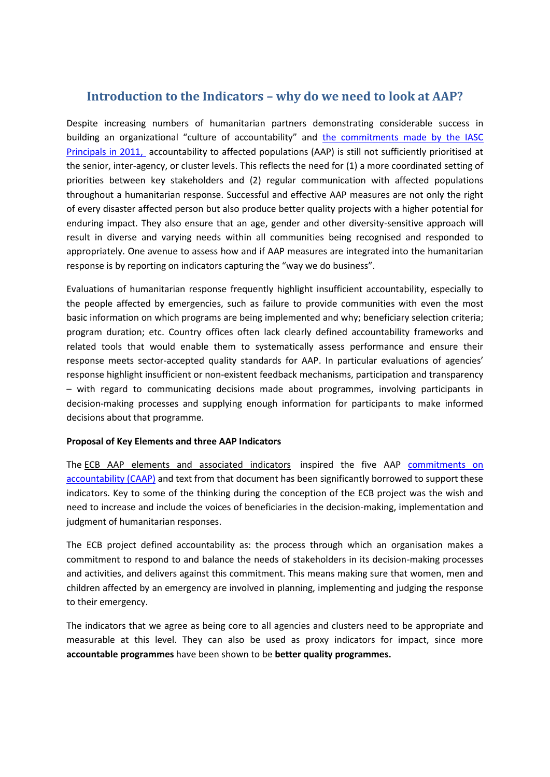# **Introduction to the Indicators – why do we need to look at AAP?**

Despite increasing numbers of humanitarian partners demonstrating considerable success in building an organizational "culture of accountability" and [the commitments made by the IASC](http://www.humanitarianinfo.org/iasc/pageloader.aspx?page=content-subsidi-common-default&sb=89)  [Principals in 2011,](http://www.humanitarianinfo.org/iasc/pageloader.aspx?page=content-subsidi-common-default&sb=89) accountability to affected populations (AAP) is still not sufficiently prioritised at the senior, inter-agency, or cluster levels. This reflects the need for (1) a more coordinated setting of priorities between key stakeholders and (2) regular communication with affected populations throughout a humanitarian response. Successful and effective AAP measures are not only the right of every disaster affected person but also produce better quality projects with a higher potential for enduring impact. They also ensure that an age, gender and other diversity-sensitive approach will result in diverse and varying needs within all communities being recognised and responded to appropriately. One avenue to assess how and if AAP measures are integrated into the humanitarian response is by reporting on indicators capturing the "way we do business".

Evaluations of humanitarian response frequently highlight insufficient accountability, especially to the people affected by emergencies, such as failure to provide communities with even the most basic information on which programs are being implemented and why; beneficiary selection criteria; program duration; etc. Country offices often lack clearly defined accountability frameworks and related tools that would enable them to systematically assess performance and ensure their response meets sector-accepted quality standards for AAP. In particular evaluations of agencies' response highlight insufficient or non-existent feedback mechanisms, participation and transparency – with regard to communicating decisions made about programmes, involving participants in decision-making processes and supplying enough information for participants to make informed decisions about that programme.

### **Proposal of Key Elements and three AAP Indicators**

The [ECB AAP elements and associated](http://www.ecbproject.org/downloads/resources/keyelements-of-accountability-forecbagencies-final.pdf) indicators inspired the five AAP [commitments on](http://www.humanitarianinfo.org/iasc/pageloader.aspx?page=content-subsidi-common-default&sb=89)  [accountability \(CAAP\)](http://www.humanitarianinfo.org/iasc/pageloader.aspx?page=content-subsidi-common-default&sb=89) and text from that document has been significantly borrowed to support these indicators. Key to some of the thinking during the conception of the ECB project was the wish and need to increase and include the voices of beneficiaries in the decision-making, implementation and judgment of humanitarian responses.

The ECB project defined accountability as: the process through which an organisation makes a commitment to respond to and balance the needs of stakeholders in its decision-making processes and activities, and delivers against this commitment. This means making sure that women, men and children affected by an emergency are involved in planning, implementing and judging the response to their emergency.

The indicators that we agree as being core to all agencies and clusters need to be appropriate and measurable at this level. They can also be used as proxy indicators for impact, since more **accountable programmes** have been shown to be **better quality programmes.**